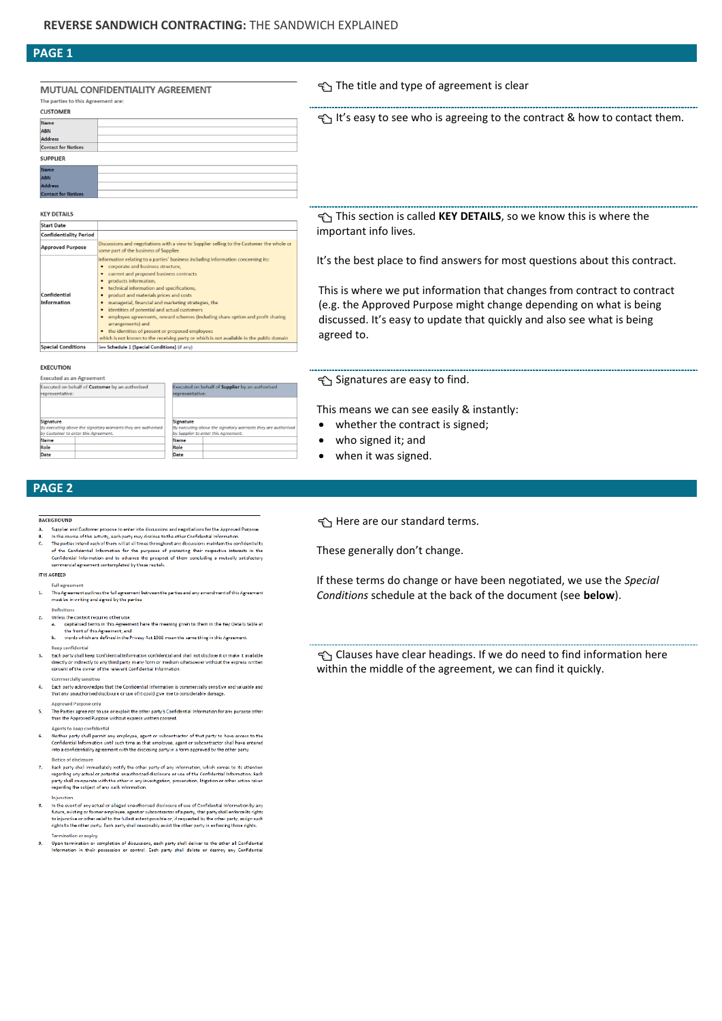# **PAGE 1**

### MUTUAL CONFIDENTIALITY AGREEMENT The parties to this Agreement are

| $\sim$ |  |  | . |  |
|--------|--|--|---|--|
|        |  |  |   |  |
|        |  |  |   |  |

**KFY DETAILS Start Date Confidentiality Period** 

**Approved Purpose** 

| <b>CUSTOMER</b>            |  |  |  |  |  |
|----------------------------|--|--|--|--|--|
| Name                       |  |  |  |  |  |
| ABN                        |  |  |  |  |  |
| Address                    |  |  |  |  |  |
| <b>Contact for Notices</b> |  |  |  |  |  |
| <b>SUPPLIER</b>            |  |  |  |  |  |
| Name                       |  |  |  |  |  |
| <b>ABN</b>                 |  |  |  |  |  |
| <b>Address</b>             |  |  |  |  |  |
| <b>Contact for Notices</b> |  |  |  |  |  |

.<br>Viscussions and negotiations with a view to Supplier selling to the Customer the whole or<br>ome part of the business of Supplier.

technical information and specifications,<br>product and materials prices and costs<br>managerial, financial and marketing strategies, the<br>identities of potential and actual customers<br>intervalsed and actual customers of employee

which is not known to proposed employees<br>
• the identities of present or proposed employees<br>
which is not known to the receiving party or which is not available in the public domain

enne parton nelating to a parties' business including information concerning its:<br>● corporate and business structure,

current and proposed business contracts products information,<br>technical information and specifications,

See Schedule 1 (Special Conditions) (if any)

# The title and type of agreement is clear

t's easy to see who is agreeing to the contract & how to contact them.

 This section is called **KEY DETAILS**, so we know this is where the important info lives.

It's the best place to find answers for most questions about this contract.

This is where we put information that changes from contract to contract (e.g. the Approved Purpose might change depending on what is being discussed. It's easy to update that quickly and also see what is being agreed to.

### **EXECUTION**

**Special Conditions** 

Confidential nformatior

| <b>Executed as an Agreement</b>                                                                                    |  |  |                                                                                                                    |  |  |  |
|--------------------------------------------------------------------------------------------------------------------|--|--|--------------------------------------------------------------------------------------------------------------------|--|--|--|
| Executed on behalf of Customer by an authorised<br>representative:                                                 |  |  | Executed on behalf of Supplier by an authorised<br>representative:                                                 |  |  |  |
| Signature<br>By executing above the signatory warrants they are authorised<br>by Customer to enter this Agreement. |  |  | Signature<br>By executing above the signatory warrants they are authorised<br>by Supplier to enter this Agreement. |  |  |  |
| Name                                                                                                               |  |  | Name                                                                                                               |  |  |  |
| Role                                                                                                               |  |  | Role                                                                                                               |  |  |  |
| Date                                                                                                               |  |  | Date                                                                                                               |  |  |  |

# Signatures are easy to find.

This means we can see easily & instantly:

- whether the contract is signed;
- who signed it; and
- when it was signed.

# **PAGE 2**

#### **RACKGROUND**

- Supplier and Customer propose to enter into discussions and negotiations for the Approved Purpose
- In the course of this activity, each party may disclose to the other Confidential Information in the counter of the model of the model and the model of the control and the parties intended in the Confidential Ity of the purposes of protecting that is confidentially of the Confidential Information for the purposes o z

### IT IS AGREED.

**Collinson** on ago comon.<br>his Agreement outlines the full agreement between the parties and any amendment of this Agreement<br>iust be in writing and signed by the parties  $\overline{1}$ 

 $\overline{z}$ 

- 
- beminuous<br>Unleas the context requires otherwise:<br>a. capitaliaed tarms in this Agreement have the meaning given to them in the Key Details table at<br>the front of this Agreement; and<br>b. words which are defined in the Privacy
- Keep con
- Each party shall keep Confidential Information confidential and shall not disclose it or make it available  $\overline{\mathbf{3}}$ directly or indirectly to any third party in any form or medium whatsoever without the express written<br>consent of the owner of the relevant Confidential Information.
- Each party acknowledges that the Confidential Information is commercially sensitive and valuable and<br>that any unauthorised disclosure or use of it could give rise to considerable damage.  $\overline{a}$
- .<br>Annroved Purnose only Approved Purpose only<br>The Parties agree not to use or exploit the other party's Confidential Information for any purpose<br>than the Approved Purpose without express written consent. 5.
- .<br>Agents to keep confidential
- Agents to keep confidential<br>Neither party shall permit any employee, agent or subcontractor of that party to have access to the<br>Confidential Information until such time as that employee, agent or subcontractor shall have e 6.
- roade or unanounce that the other party of any information, which comes to its attention<br>regarding any actual or potential unauthorized disclosure or use of the Confidential information. Each<br>party shall co-operate with th  $\mathbf{z}$

- In the event of any actual or alleged unauthorised disclosure of use of Confidential Information by any s. In the event of any extant or alleged current or subcontractor of a party, that party and information that future is the future of the future of the future of the future of the future of the future of the future of the fut **Termination or expiry**
- Upon termination or completion of discussions, each party shall deliver to the other all Confidential<br>Information in their possession or control. Each party shall delete or destroy any Confidential  $\overline{9}$

Here are our standard terms.

These generally don't change.

If these terms do change or have been negotiated, we use the *Special Conditions* schedule at the back of the document (see **below**).

 Clauses have clear headings. If we do need to find information here within the middle of the agreement, we can find it quickly.